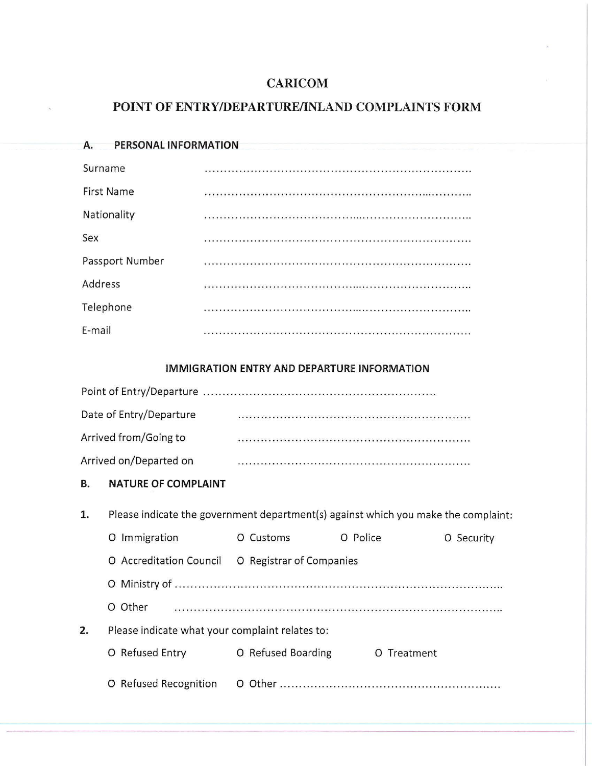## **CARI COM**

## **POINT OF ENTRY/DEPARTURE/INLAND COMPLAINTS FORM**

| <b>PERSONAL INFORMATION</b><br>Α. |  |
|-----------------------------------|--|
| Surname                           |  |
| <b>First Name</b>                 |  |
| Nationality                       |  |
| Sex                               |  |
| Passport Number                   |  |
| Address                           |  |
| Telephone                         |  |
| E-mail                            |  |
|                                   |  |

## **IMMIGRATION ENTRY AND DEPARTURE INFORMATION**

| Date of Entry/Departure |                                                                                                                      |
|-------------------------|----------------------------------------------------------------------------------------------------------------------|
| Arrived from/Going to   |                                                                                                                      |
| Arrived on/Departed on  | in a construction of the contraction of the construction of the construction of the construction of the construction |

## **B. NATURE OF COMPLAINT**

| 1. | Please indicate the government department(s) against which you make the complaint: |                          |             |               |
|----|------------------------------------------------------------------------------------|--------------------------|-------------|---------------|
|    | Immigration<br>O                                                                   | Customs<br>O             | O Police    | Security<br>O |
|    | O Accreditation Council                                                            | O Registrar of Companies |             |               |
|    |                                                                                    |                          |             |               |
|    | Other<br>O                                                                         |                          |             |               |
| 2. | Please indicate what your complaint relates to:                                    |                          |             |               |
|    | O Refused Entry                                                                    | O Refused Boarding       | O Treatment |               |
|    | <b>Refused Recognition</b><br>O                                                    | Other                    |             |               |